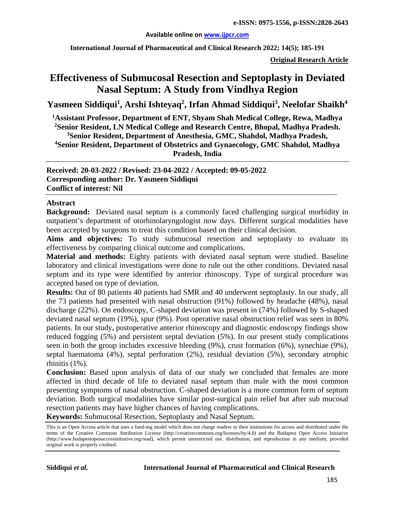#### **Available online on [www.ijpcr.com](http://www.ijpcr.com/)**

**International Journal of Pharmaceutical and Clinical Research 2022; 14(5); 185-191**

**Original Research Article**

# **Effectiveness of Submucosal Resection and Septoplasty in Deviated Nasal Septum: A Study from Vindhya Region**

 $\bold{Y}$ asmeen Siddiqui<sup>1</sup>, Arshi Ishteyaq<sup>2</sup>, Irfan Ahmad Siddiqui<sup>3</sup>, Neelofar Shaikh $^4$ 

 **Assistant Professor, Department of ENT, Shyam Shah Medical College, Rewa, Madhya Senior Resident, LN Medical College and Research Centre, Bhopal, Madhya Pradesh. Senior Resident, Department of Anesthesia, GMC, Shahdol, Madhya Pradesh, Senior Resident, Department of Obstetrics and Gynaecology, GMC Shahdol, Madhya Pradesh, India**

**Received: 20-03-2022 / Revised: 23-04-2022 / Accepted: 09-05-2022 Corresponding author: Dr. Yasmeen Siddiqui Conflict of interest: Nil**

#### **Abstract**

**Background:** Deviated nasal septum is a commonly faced challenging surgical morbidity in outpatient's department of otorhinolaryngologist now days. Different surgical modalities have been accepted by surgeons to treat this condition based on their clinical decision.

**Aims and objectives:** To study submucosal resection and septoplasty to evaluate its effectiveness by comparing clinical outcome and complications.

**Material and methods:** Eighty patients with deviated nasal septum were studied. Baseline laboratory and clinical investigations were done to rule out the other conditions. Deviated nasal septum and its type were identified by anterior rhinoscopy. Type of surgical procedure was accepted based on type of deviation.

**Results:** Out of 80 patients 40 patients had SMR and 40 underwent septoplasty. In our study, all the 73 patients had presented with nasal obstruction (91%) followed by headache (48%), nasal discharge (22%). On endoscopy, C-shaped deviation was present in (74%) followed by S-shaped deviated nasal septum (19%), spur (9%). Post operative nasal obstruction relief was seen in 80% patients. In our study, postoperative anterior rhinoscopy and diagnostic endoscopy findings show reduced fogging (5%) and persistent septal deviation (5%). In our present study complications seen in both the group includes excessive bleeding (9%), crust formation (6%), synechiae (9%), septal haematoma (4%), septal perforation (2%), residual deviation (5%), secondary atrophic rhinitis (1%).

**Conclusion:** Based upon analysis of data of our study we concluded that females are more affected in third decade of life to deviated nasal septum than male with the most common presenting symptoms of nasal obstruction. C-shaped deviation is a more common form of septum deviation. Both surgical modalities have similar post-surgical pain relief but after sub mucosal resection patients may have higher chances of having complications.

**Keywords:** Submucosal Resection, Septoplasty and Nasal Septum.

This is an Open Access article that uses a fund-ing model which does not charge readers or their institutions for access and distributed under the terms of the Creative Commons Attribution License (http://creativecommons.org/licenses/by/4.0) and the Budapest Open Access Initiative (http://www.budapestopenaccessinitiative.org/read), which permit unrestricted use, distribution, and reproduction in any medium, provided original work is properly credited.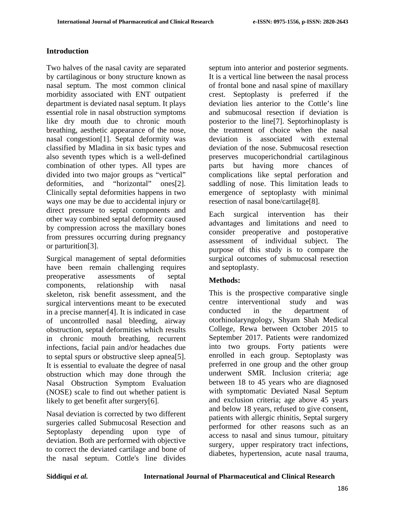# **Introduction**

Two halves of the nasal cavity are separated by cartilaginous or bony structure known as nasal septum. The most common clinical morbidity associated with ENT outpatient department is deviated nasal septum. It plays essential role in nasal obstruction symptoms like dry mouth due to chronic mouth breathing, aesthetic appearance of the nose, nasal congestion[1]. Septal deformity was classified by Mladina in six basic types and also seventh types which is a well-defined combination of other types. All types are divided into two major groups as "vertical" deformities, and "horizontal" ones[2]. Clinically septal deformities happens in two ways one may be due to accidental injury or direct pressure to septal components and other way combined septal deformity caused by compression across the maxillary bones from pressures occurring during pregnancy or parturition[3].

Surgical management of septal deformities have been remain challenging requires preoperative assessments of septal components, relationship with nasal skeleton, risk benefit assessment, and the surgical interventions meant to be executed in a precise manner[4]. It is indicated in case of uncontrolled nasal bleeding, airway obstruction, septal deformities which results in chronic mouth breathing, recurrent infections, facial pain and/or headaches due to septal spurs or obstructive sleep apnea[5]. It is essential to evaluate the degree of nasal obstruction which may done through the Nasal Obstruction Symptom Evaluation (NOSE) scale to find out whether patient is likely to get benefit after surgery[6].

Nasal deviation is corrected by two different surgeries called Submucosal Resection and Septoplasty depending upon type of deviation. Both are performed with objective to correct the deviated cartilage and bone of the nasal septum. Cottle's line divides

septum into anterior and posterior segments. It is a vertical line between the nasal process of frontal bone and nasal spine of maxillary crest. Septoplasty is preferred if the deviation lies anterior to the Cottle's line and submucosal resection if deviation is posterior to the line[7]. Septorhinoplasty is the treatment of choice when the nasal deviation is associated with external deviation of the nose. Submucosal resection preserves mucoperichondrial cartilaginous parts but having more chances of complications like septal perforation and saddling of nose. This limitation leads to emergence of septoplasty with minimal resection of nasal bone/cartilage[8].

Each surgical intervention has their advantages and limitations and need to consider preoperative and postoperative assessment of individual subject. The purpose of this study is to compare the surgical outcomes of submucosal resection and septoplasty.

## **Methods:**

This is the prospective comparative single centre interventional study and was conducted in the department of otorhinolaryngology, Shyam Shah Medical College, Rewa between October 2015 to September 2017. Patients were randomized into two groups. Forty patients were enrolled in each group. Septoplasty was preferred in one group and the other group underwent SMR. Inclusion criteria; age between 18 to 45 years who are diagnosed with symptomatic Deviated Nasal Septum and exclusion criteria; age above 45 years and below 18 years, refused to give consent, patients with allergic rhinitis, Septal surgery performed for other reasons such as an access to nasal and sinus tumour, pituitary surgery, upper respiratory tract infections, diabetes, hypertension, acute nasal trauma,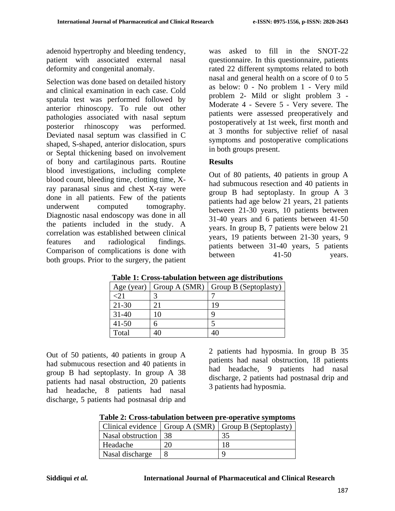adenoid hypertrophy and bleeding tendency, patient with associated external nasal deformity and congenital anomaly.

Selection was done based on detailed history and clinical examination in each case. Cold spatula test was performed followed by anterior rhinoscopy. To rule out other pathologies associated with nasal septum posterior rhinoscopy was performed. Deviated nasal septum was classified in C shaped, S-shaped, anterior dislocation, spurs or Septal thickening based on involvement of bony and cartilaginous parts. Routine blood investigations, including complete blood count, bleeding time, clotting time, Xray paranasal sinus and chest X-ray were done in all patients. Few of the patients underwent computed tomography. Diagnostic nasal endoscopy was done in all the patients included in the study. A correlation was established between clinical features and radiological findings. Comparison of complications is done with both groups. Prior to the surgery, the patient

was asked to fill in the SNOT-22 questionnaire. In this questionnaire, patients rated 22 different symptoms related to both nasal and general health on a score of 0 to 5 as below: 0 - No problem 1 - Very mild problem 2- Mild or slight problem 3 - Moderate 4 - Severe 5 - Very severe. The patients were assessed preoperatively and postoperatively at 1st week, first month and at 3 months for subjective relief of nasal symptoms and postoperative complications in both groups present.

## **Results**

Out of 80 patients, 40 patients in group A had submucous resection and 40 patients in group B had septoplasty. In group A 3 patients had age below 21 years, 21 patients between 21-30 years, 10 patients between 31-40 years and 6 patients between 41-50 years. In group B, 7 patients were below 21 years, 19 patients between 21-30 years, 9 patients between 31-40 years, 5 patients between 41-50 years.

| Age (year) | Group A (SMR) | Group B (Septoplasty) |
|------------|---------------|-----------------------|
|            |               |                       |
| $21 - 30$  |               | 19                    |
| $31 - 40$  | l O           |                       |
| $41 - 50$  |               |                       |
| Total      |               |                       |

**Table 1: Cross-tabulation between age distributions**

Out of 50 patients, 40 patients in group A had submucous resection and 40 patients in group B had septoplasty. In group A 38 patients had nasal obstruction, 20 patients had headache, 8 patients had nasal discharge, 5 patients had postnasal drip and

2 patients had hyposmia. In group B 35 patients had nasal obstruction, 18 patients had headache, 9 patients had nasal discharge, 2 patients had postnasal drip and 3 patients had hyposmia.

| Table 2: Cross-tabulation between pre-operative symptoms |  |  |
|----------------------------------------------------------|--|--|
|----------------------------------------------------------|--|--|

|                      |    | Clinical evidence   Group A (SMR)   Group B (Septoplasty) |
|----------------------|----|-----------------------------------------------------------|
| Nasal obstruction 38 |    | 35                                                        |
| Headache             | ററ |                                                           |
| Nasal discharge      |    |                                                           |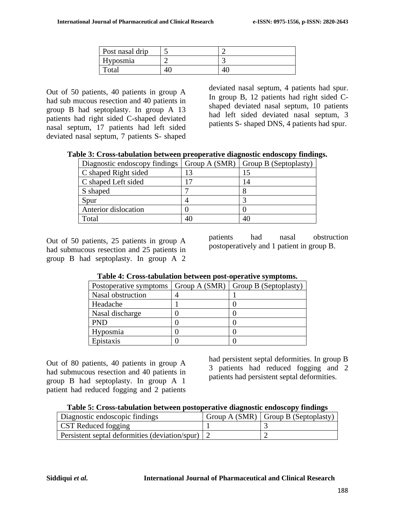| Post nasal drip |  |
|-----------------|--|
| Hyposmia        |  |
| Total           |  |

Out of 50 patients, 40 patients in group A had sub mucous resection and 40 patients in group B had septoplasty. In group A 13 patients had right sided C-shaped deviated nasal septum, 17 patients had left sided deviated nasal septum, 7 patients S- shaped

deviated nasal septum, 4 patients had spur. In group B, 12 patients had right sided Cshaped deviated nasal septum, 10 patients had left sided deviated nasal septum, 3 patients S- shaped DNS, 4 patients had spur.

| Table 3: Cross-tabulation between preoperative diagnostic endoscopy findings. |  |  |  |
|-------------------------------------------------------------------------------|--|--|--|
|-------------------------------------------------------------------------------|--|--|--|

| Diagnostic endoscopy findings |    | $\vert$ Group A (SMR) $\vert$ Group B (Septoplasty) |
|-------------------------------|----|-----------------------------------------------------|
| C shaped Right sided          |    |                                                     |
| C shaped Left sided           |    | 14                                                  |
| S shaped                      |    |                                                     |
| Spur                          |    |                                                     |
| Anterior dislocation          |    |                                                     |
| Total                         | 40 | 40                                                  |

Out of 50 patients, 25 patients in group A had submucous resection and 25 patients in group B had septoplasty. In group A 2 patients had nasal obstruction postoperatively and 1 patient in group B.

| Postoperative symptoms | Group A (SMR) | Group B (Septoplasty) |
|------------------------|---------------|-----------------------|
| Nasal obstruction      |               |                       |
| Headache               |               |                       |
| Nasal discharge        |               |                       |
| <b>PND</b>             |               |                       |
| Hyposmia               |               |                       |
| Epistaxis              |               |                       |

| Table 4: Cross-tabulation between post-operative symptoms. |  |
|------------------------------------------------------------|--|
|------------------------------------------------------------|--|

Out of 80 patients, 40 patients in group A had submucous resection and 40 patients in group B had septoplasty. In group A 1 patient had reduced fogging and 2 patients had persistent septal deformities. In group B 3 patients had reduced fogging and 2 patients had persistent septal deformities.

| Table 5: Cross-tabulation between postoperative diagnostic endoscopy findings |  |  |  |
|-------------------------------------------------------------------------------|--|--|--|
|                                                                               |  |  |  |

| Diagnostic endoscopic findings                   | Group A $(SMR)$ Group B $(Septoplasty)$ |
|--------------------------------------------------|-----------------------------------------|
| <b>CST</b> Reduced fogging                       |                                         |
| Persistent septal deformities (deviation/spur) 2 |                                         |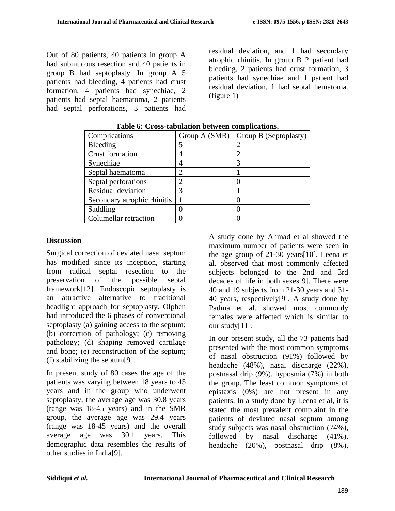Out of 80 patients, 40 patients in group A had submucous resection and 40 patients in group B had septoplasty. In group A 5 patients had bleeding, 4 patients had crust formation, 4 patients had synechiae, 2 patients had septal haematoma, 2 patients had septal perforations, 3 patients had residual deviation, and 1 had secondary atrophic rhinitis. In group B 2 patient had bleeding, 2 patients had crust formation, 3 patients had synechiae and 1 patient had residual deviation, 1 had septal hematoma. (figure 1)

| Complications               | Group A (SMR) | Group B (Septoplasty) |
|-----------------------------|---------------|-----------------------|
| Bleeding                    |               |                       |
| <b>Crust formation</b>      |               |                       |
| Synechiae                   |               | 3                     |
| Septal haematoma            |               |                       |
| Septal perforations         |               |                       |
| Residual deviation          |               |                       |
| Secondary atrophic rhinitis |               |                       |
| Saddling                    |               |                       |
| Columellar retraction       |               |                       |

**Table 6: Cross-tabulation between complications.**

### **Discussion**

Surgical correction of deviated nasal septum has modified since its inception, starting from radical septal resection to the preservation of the possible septal framework[12]. Endoscopic septoplasty is an attractive alternative to traditional headlight approach for septoplasty. Olphen had introduced the 6 phases of conventional septoplasty (a) gaining access to the septum; (b) correction of pathology; (c) removing pathology; (d) shaping removed cartilage and bone; (e) reconstruction of the septum; (f) stabilizing the septum[9].

In present study of 80 cases the age of the patients was varying between 18 years to 45 years and in the group who underwent septoplasty, the average age was 30.8 years (range was 18-45 years) and in the SMR group, the average age was 29.4 years (range was 18-45 years) and the overall average age was 30.1 years. This demographic data resembles the results of other studies in India[9].

A study done by Ahmad et al showed the maximum number of patients were seen in the age group of 21-30 years[10]. Leena et al. observed that most commonly affected subjects belonged to the 2nd and 3rd decades of life in both sexes[9]. There were 40 and 19 subjects from 21-30 years and 31- 40 years, respectively[9]. A study done by Padma et al. showed most commonly females were affected which is similar to our study[11].

In our present study, all the 73 patients had presented with the most common symptoms of nasal obstruction (91%) followed by headache (48%), nasal discharge (22%), postnasal drip (9%), hyposmia (7%) in both the group. The least common symptoms of epistaxis (0%) are not present in any patients. In a study done by Leena et al, it is stated the most prevalent complaint in the patients of deviated nasal septum among study subjects was nasal obstruction (74%), followed by nasal discharge (41%), headache (20%), postnasal drip (8%),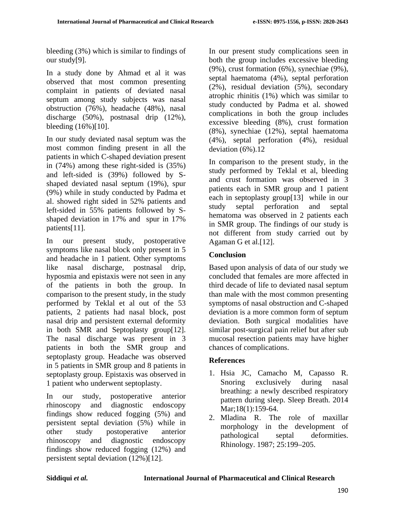bleeding (3%) which is similar to findings of our study[9].

In a study done by Ahmad et al it was observed that most common presenting complaint in patients of deviated nasal septum among study subjects was nasal obstruction (76%), headache (48%), nasal discharge (50%), postnasal drip (12%), bleeding (16%)[10].

In our study deviated nasal septum was the most common finding present in all the patients in which C-shaped deviation present in (74%) among these right-sided is (35%) and left-sided is (39%) followed by Sshaped deviated nasal septum (19%), spur (9%) while in study conducted by Padma et al. showed right sided in 52% patients and left-sided in 55% patients followed by Sshaped deviation in 17% and spur in 17% patients[11].

In our present study, postoperative symptoms like nasal block only present in 5 and headache in 1 patient. Other symptoms like nasal discharge, postnasal drip, hyposmia and epistaxis were not seen in any of the patients in both the group. In comparison to the present study, in the study performed by Teklal et al out of the 53 patients, 2 patients had nasal block, post nasal drip and persistent external deformity in both SMR and Septoplasty group[12]. The nasal discharge was present in 3 patients in both the SMR group and septoplasty group. Headache was observed in 5 patients in SMR group and 8 patients in septoplasty group. Epistaxis was observed in 1 patient who underwent septoplasty.

In our study, postoperative anterior rhinoscopy and diagnostic endoscopy findings show reduced fogging (5%) and persistent septal deviation (5%) while in other study postoperative anterior rhinoscopy and diagnostic endoscopy findings show reduced fogging (12%) and persistent septal deviation (12%)[12].

In our present study complications seen in both the group includes excessive bleeding (9%), crust formation (6%), synechiae (9%), septal haematoma (4%), septal perforation (2%), residual deviation (5%), secondary atrophic rhinitis (1%) which was similar to study conducted by Padma et al. showed complications in both the group includes excessive bleeding (8%), crust formation (8%), synechiae (12%), septal haematoma (4%), septal perforation (4%), residual deviation (6%).12

In comparison to the present study, in the study performed by Teklal et al, bleeding and crust formation was observed in 3 patients each in SMR group and 1 patient each in septoplasty group[13] while in our study septal perforation and septal hematoma was observed in 2 patients each in SMR group. The findings of our study is not different from study carried out by Agaman G et al.[12].

# **Conclusion**

Based upon analysis of data of our study we concluded that females are more affected in third decade of life to deviated nasal septum than male with the most common presenting symptoms of nasal obstruction and C-shaped deviation is a more common form of septum deviation. Both surgical modalities have similar post-surgical pain relief but after sub mucosal resection patients may have higher chances of complications.

## **References**

- 1. Hsia JC, Camacho M, Capasso R. Snoring exclusively during nasal breathing: a newly described respiratory pattern during sleep. Sleep Breath. 2014 Mar;18(1):159-64.
- 2. Mladina R. The role of maxillar morphology in the development of pathological septal deformities. Rhinology. 1987; 25:199–205.